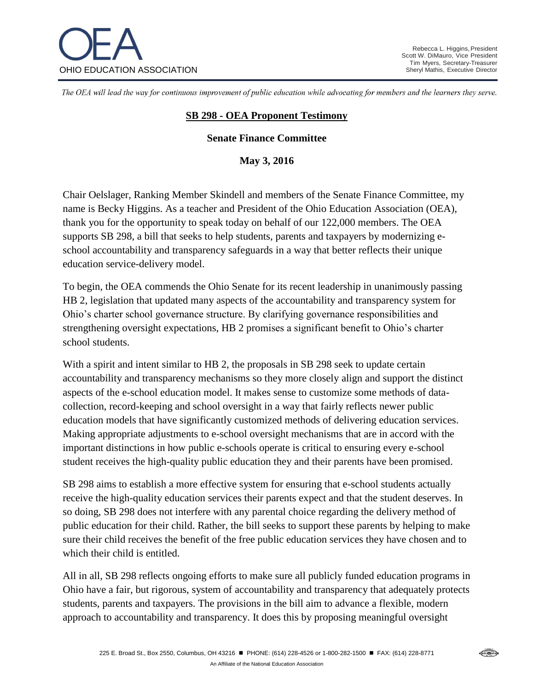

The OEA will lead the way for continuous improvement of public education while advocating for members and the learners they serve.

## **SB 298 - OEA Proponent Testimony**

## **Senate Finance Committee**

**May 3, 2016**

Chair Oelslager, Ranking Member Skindell and members of the Senate Finance Committee, my name is Becky Higgins. As a teacher and President of the Ohio Education Association (OEA), thank you for the opportunity to speak today on behalf of our 122,000 members. The OEA supports SB 298, a bill that seeks to help students, parents and taxpayers by modernizing eschool accountability and transparency safeguards in a way that better reflects their unique education service-delivery model.

To begin, the OEA commends the Ohio Senate for its recent leadership in unanimously passing HB 2, legislation that updated many aspects of the accountability and transparency system for Ohio's charter school governance structure. By clarifying governance responsibilities and strengthening oversight expectations, HB 2 promises a significant benefit to Ohio's charter school students.

With a spirit and intent similar to HB 2, the proposals in SB 298 seek to update certain accountability and transparency mechanisms so they more closely align and support the distinct aspects of the e-school education model. It makes sense to customize some methods of datacollection, record-keeping and school oversight in a way that fairly reflects newer public education models that have significantly customized methods of delivering education services. Making appropriate adjustments to e-school oversight mechanisms that are in accord with the important distinctions in how public e-schools operate is critical to ensuring every e-school student receives the high-quality public education they and their parents have been promised.

SB 298 aims to establish a more effective system for ensuring that e-school students actually receive the high-quality education services their parents expect and that the student deserves. In so doing, SB 298 does not interfere with any parental choice regarding the delivery method of public education for their child. Rather, the bill seeks to support these parents by helping to make sure their child receives the benefit of the free public education services they have chosen and to which their child is entitled.

All in all, SB 298 reflects ongoing efforts to make sure all publicly funded education programs in Ohio have a fair, but rigorous, system of accountability and transparency that adequately protects students, parents and taxpayers. The provisions in the bill aim to advance a flexible, modern approach to accountability and transparency. It does this by proposing meaningful oversight